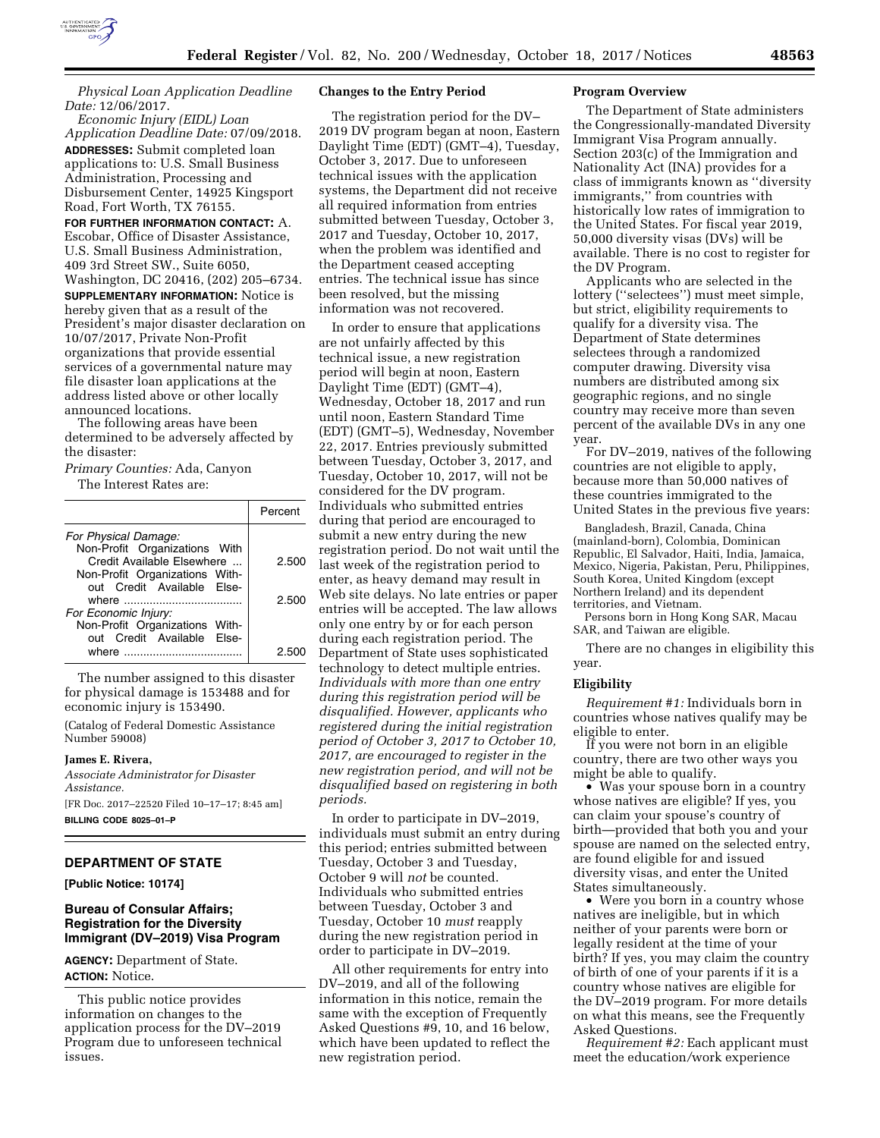

*Physical Loan Application Deadline Date:* 12/06/2017.

*Economic Injury (EIDL) Loan Application Deadline Date:* 07/09/2018. **ADDRESSES:** Submit completed loan applications to: U.S. Small Business Administration, Processing and Disbursement Center, 14925 Kingsport Road, Fort Worth, TX 76155.

**FOR FURTHER INFORMATION CONTACT:** A. Escobar, Office of Disaster Assistance, U.S. Small Business Administration, 409 3rd Street SW., Suite 6050, Washington, DC 20416, (202) 205–6734. **SUPPLEMENTARY INFORMATION:** Notice is hereby given that as a result of the President's major disaster declaration on 10/07/2017, Private Non-Profit organizations that provide essential services of a governmental nature may file disaster loan applications at the address listed above or other locally announced locations.

The following areas have been determined to be adversely affected by the disaster:

*Primary Counties:* Ada, Canyon

The Interest Rates are:

|                                | Percent |
|--------------------------------|---------|
| For Physical Damage:           |         |
| Non-Profit Organizations With  |         |
| Credit Available Elsewhere     | 2.500   |
| Non-Profit Organizations With- |         |
| out Credit Available Else-     |         |
|                                | 2.500   |
| For Economic Injury:           |         |
| Non-Profit Organizations With- |         |
| out Credit Available Else-     |         |
| where                          | クら      |

The number assigned to this disaster for physical damage is 153488 and for economic injury is 153490.

(Catalog of Federal Domestic Assistance Number 59008)

#### **James E. Rivera,**

*Associate Administrator for Disaster Assistance.*  [FR Doc. 2017–22520 Filed 10–17–17; 8:45 am] **BILLING CODE 8025–01–P** 

# **DEPARTMENT OF STATE**

**[Public Notice: 10174]** 

# **Bureau of Consular Affairs; Registration for the Diversity Immigrant (DV–2019) Visa Program**

**AGENCY:** Department of State. **ACTION:** Notice.

This public notice provides information on changes to the application process for the DV–2019 Program due to unforeseen technical issues.

#### **Changes to the Entry Period**

The registration period for the DV– 2019 DV program began at noon, Eastern Daylight Time (EDT) (GMT–4), Tuesday, October 3, 2017. Due to unforeseen technical issues with the application systems, the Department did not receive all required information from entries submitted between Tuesday, October 3, 2017 and Tuesday, October 10, 2017, when the problem was identified and the Department ceased accepting entries. The technical issue has since been resolved, but the missing information was not recovered.

In order to ensure that applications are not unfairly affected by this technical issue, a new registration period will begin at noon, Eastern Daylight Time (EDT) (GMT–4), Wednesday, October 18, 2017 and run until noon, Eastern Standard Time (EDT) (GMT–5), Wednesday, November 22, 2017. Entries previously submitted between Tuesday, October 3, 2017, and Tuesday, October 10, 2017, will not be considered for the DV program. Individuals who submitted entries during that period are encouraged to submit a new entry during the new registration period. Do not wait until the last week of the registration period to enter, as heavy demand may result in Web site delays. No late entries or paper entries will be accepted. The law allows only one entry by or for each person during each registration period. The Department of State uses sophisticated technology to detect multiple entries. *Individuals with more than one entry during this registration period will be disqualified. However, applicants who registered during the initial registration period of October 3, 2017 to October 10, 2017, are encouraged to register in the new registration period, and will not be disqualified based on registering in both periods.* 

In order to participate in DV–2019, individuals must submit an entry during this period; entries submitted between Tuesday, October 3 and Tuesday, October 9 will *not* be counted. Individuals who submitted entries between Tuesday, October 3 and Tuesday, October 10 *must* reapply during the new registration period in order to participate in DV–2019.

All other requirements for entry into DV–2019, and all of the following information in this notice, remain the same with the exception of Frequently Asked Questions #9, 10, and 16 below, which have been updated to reflect the new registration period.

### **Program Overview**

The Department of State administers the Congressionally-mandated Diversity Immigrant Visa Program annually. Section 203(c) of the Immigration and Nationality Act (INA) provides for a class of immigrants known as ''diversity immigrants,'' from countries with historically low rates of immigration to the United States. For fiscal year 2019, 50,000 diversity visas (DVs) will be available. There is no cost to register for the DV Program.

Applicants who are selected in the lottery (''selectees'') must meet simple, but strict, eligibility requirements to qualify for a diversity visa. The Department of State determines selectees through a randomized computer drawing. Diversity visa numbers are distributed among six geographic regions, and no single country may receive more than seven percent of the available DVs in any one year.

For DV–2019, natives of the following countries are not eligible to apply, because more than 50,000 natives of these countries immigrated to the United States in the previous five years:

Bangladesh, Brazil, Canada, China (mainland-born), Colombia, Dominican Republic, El Salvador, Haiti, India, Jamaica, Mexico, Nigeria, Pakistan, Peru, Philippines, South Korea, United Kingdom (except Northern Ireland) and its dependent territories, and Vietnam.

Persons born in Hong Kong SAR, Macau SAR, and Taiwan are eligible.

There are no changes in eligibility this year.

#### **Eligibility**

*Requirement #1:* Individuals born in countries whose natives qualify may be eligible to enter.

If you were not born in an eligible country, there are two other ways you might be able to qualify.

• Was your spouse born in a country whose natives are eligible? If yes, you can claim your spouse's country of birth—provided that both you and your spouse are named on the selected entry, are found eligible for and issued diversity visas, and enter the United States simultaneously.

• Were you born in a country whose natives are ineligible, but in which neither of your parents were born or legally resident at the time of your birth? If yes, you may claim the country of birth of one of your parents if it is a country whose natives are eligible for the DV–2019 program. For more details on what this means, see the Frequently Asked Questions.

*Requirement #2:* Each applicant must meet the education*/*work experience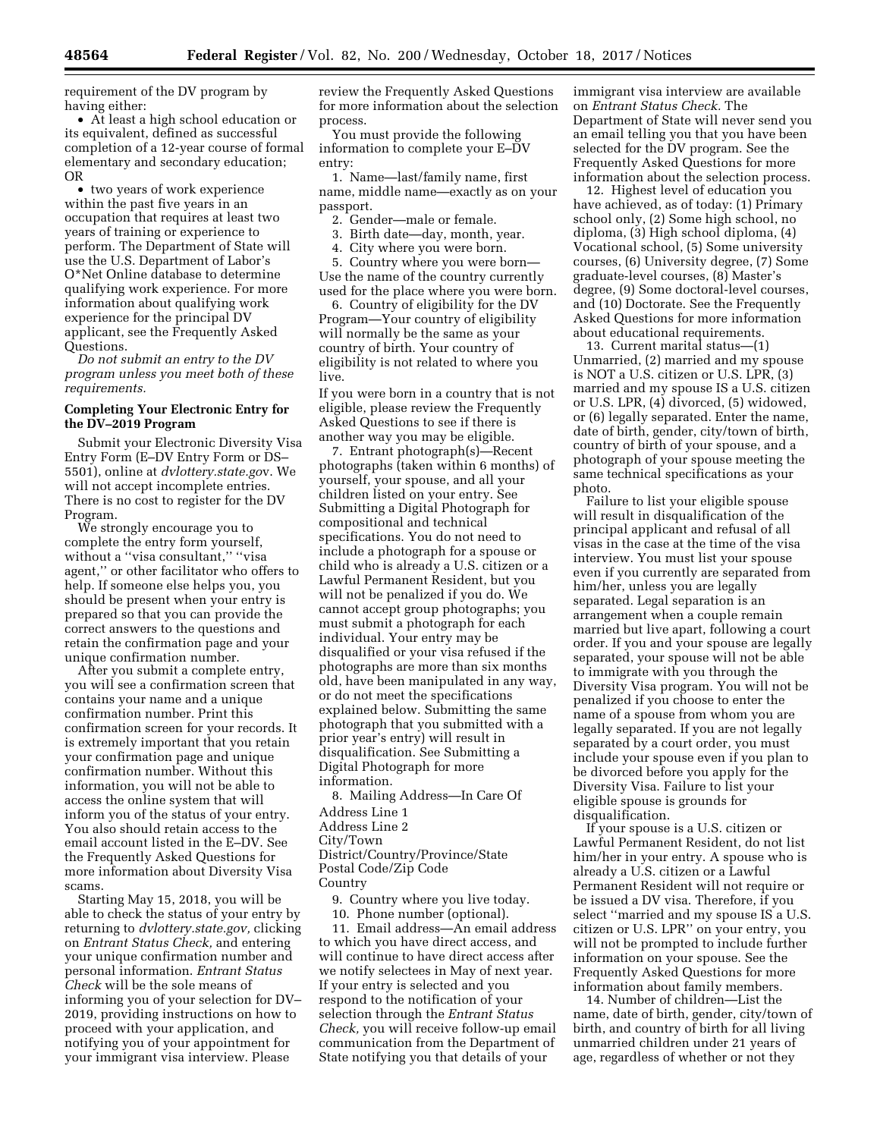requirement of the DV program by having either:

• At least a high school education or its equivalent, defined as successful completion of a 12-year course of formal elementary and secondary education; OR

• two years of work experience within the past five years in an occupation that requires at least two years of training or experience to perform. The Department of State will use the U.S. Department of Labor's O\*Net Online database to determine qualifying work experience. For more information about qualifying work experience for the principal DV applicant, see the Frequently Asked Questions.

*Do not submit an entry to the DV program unless you meet both of these requirements.* 

# **Completing Your Electronic Entry for the DV–2019 Program**

Submit your Electronic Diversity Visa Entry Form (E–DV Entry Form or DS– 5501), online at *dvlottery.state.go*v. We will not accept incomplete entries. There is no cost to register for the DV Program.

We strongly encourage you to complete the entry form yourself, without a ''visa consultant,'' ''visa agent,'' or other facilitator who offers to help. If someone else helps you, you should be present when your entry is prepared so that you can provide the correct answers to the questions and retain the confirmation page and your unique confirmation number.

After you submit a complete entry, you will see a confirmation screen that contains your name and a unique confirmation number. Print this confirmation screen for your records. It is extremely important that you retain your confirmation page and unique confirmation number. Without this information, you will not be able to access the online system that will inform you of the status of your entry. You also should retain access to the email account listed in the E–DV. See the Frequently Asked Questions for more information about Diversity Visa scams.

Starting May 15, 2018, you will be able to check the status of your entry by returning to *dvlottery.state.gov,* clicking on *Entrant Status Check,* and entering your unique confirmation number and personal information. *Entrant Status Check* will be the sole means of informing you of your selection for DV– 2019, providing instructions on how to proceed with your application, and notifying you of your appointment for your immigrant visa interview. Please

review the Frequently Asked Questions for more information about the selection process.

You must provide the following information to complete your E–DV entry:

1. Name—last/family name, first name, middle name—exactly as on your passport.

2. Gender—male or female.

- 3. Birth date—day, month, year.
- 4. City where you were born.

5. Country where you were born— Use the name of the country currently used for the place where you were born.

6. Country of eligibility for the DV Program—Your country of eligibility will normally be the same as your country of birth. Your country of eligibility is not related to where you live.

If you were born in a country that is not eligible, please review the Frequently Asked Questions to see if there is another way you may be eligible.

7. Entrant photograph(s)—Recent photographs (taken within 6 months) of yourself, your spouse, and all your children listed on your entry. See Submitting a Digital Photograph for compositional and technical specifications. You do not need to include a photograph for a spouse or child who is already a U.S. citizen or a Lawful Permanent Resident, but you will not be penalized if you do. We cannot accept group photographs; you must submit a photograph for each individual. Your entry may be disqualified or your visa refused if the photographs are more than six months old, have been manipulated in any way, or do not meet the specifications explained below. Submitting the same photograph that you submitted with a prior year's entry) will result in disqualification. See Submitting a Digital Photograph for more information.

8. Mailing Address—In Care Of Address Line 1 Address Line 2 City/Town District/Country/Province/State Postal Code/Zip Code Country 9. Country where you live today.

10. Phone number (optional).

11. Email address—An email address to which you have direct access, and will continue to have direct access after we notify selectees in May of next year. If your entry is selected and you respond to the notification of your selection through the *Entrant Status Check,* you will receive follow-up email communication from the Department of State notifying you that details of your

immigrant visa interview are available on *Entrant Status Check.* The Department of State will never send you an email telling you that you have been selected for the DV program. See the Frequently Asked Questions for more information about the selection process.

12. Highest level of education you have achieved, as of today: (1) Primary school only, (2) Some high school, no diploma, (3) High school diploma, (4) Vocational school, (5) Some university courses, (6) University degree, (7) Some graduate-level courses, (8) Master's degree, (9) Some doctoral-level courses, and (10) Doctorate. See the Frequently Asked Questions for more information about educational requirements.

13. Current marital status—(1) Unmarried, (2) married and my spouse is NOT a U.S. citizen or U.S. LPR, (3) married and my spouse IS a U.S. citizen or U.S. LPR, (4) divorced, (5) widowed, or (6) legally separated. Enter the name, date of birth, gender, city/town of birth, country of birth of your spouse, and a photograph of your spouse meeting the same technical specifications as your photo.

Failure to list your eligible spouse will result in disqualification of the principal applicant and refusal of all visas in the case at the time of the visa interview. You must list your spouse even if you currently are separated from him/her, unless you are legally separated. Legal separation is an arrangement when a couple remain married but live apart, following a court order. If you and your spouse are legally separated, your spouse will not be able to immigrate with you through the Diversity Visa program. You will not be penalized if you choose to enter the name of a spouse from whom you are legally separated. If you are not legally separated by a court order, you must include your spouse even if you plan to be divorced before you apply for the Diversity Visa. Failure to list your eligible spouse is grounds for disqualification.

If your spouse is a U.S. citizen or Lawful Permanent Resident, do not list him/her in your entry. A spouse who is already a U.S. citizen or a Lawful Permanent Resident will not require or be issued a DV visa. Therefore, if you select ''married and my spouse IS a U.S. citizen or U.S. LPR'' on your entry, you will not be prompted to include further information on your spouse. See the Frequently Asked Questions for more information about family members.

14. Number of children—List the name, date of birth, gender, city/town of birth, and country of birth for all living unmarried children under 21 years of age, regardless of whether or not they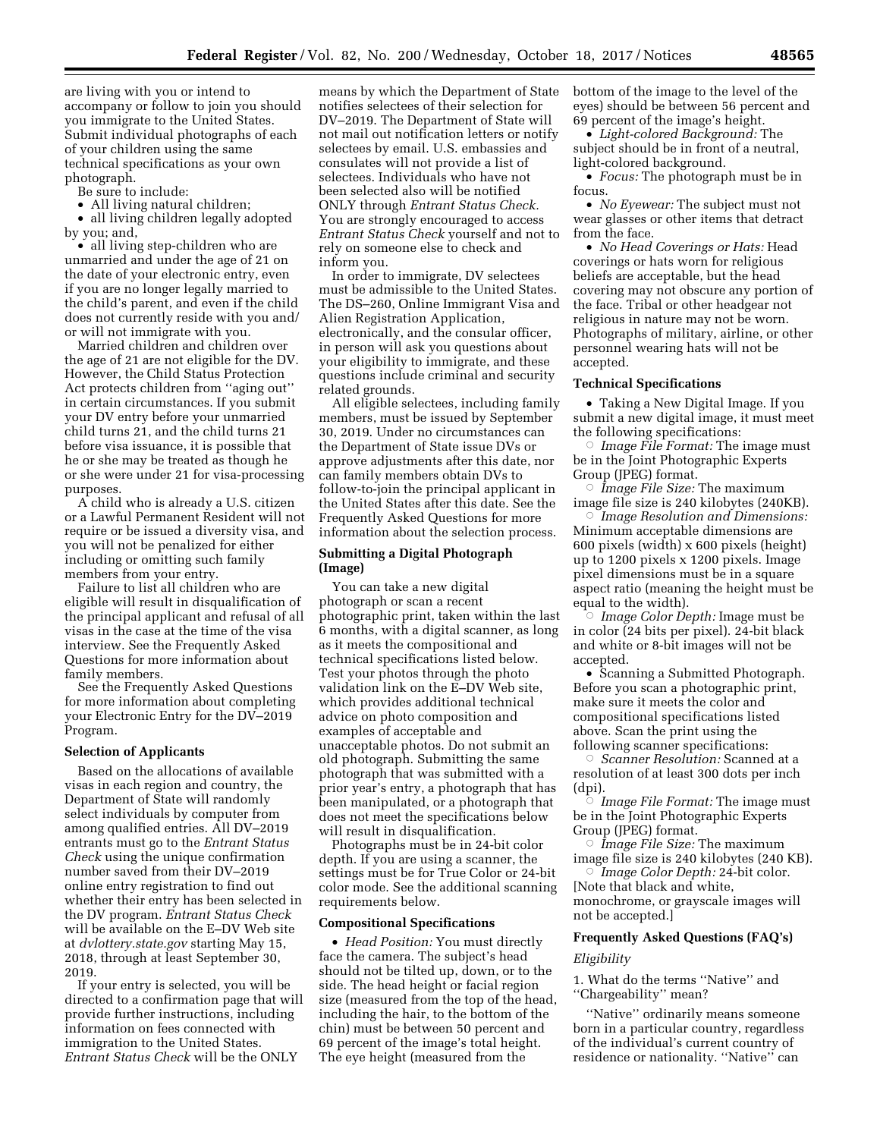are living with you or intend to accompany or follow to join you should you immigrate to the United States. Submit individual photographs of each of your children using the same technical specifications as your own photograph.

Be sure to include:

• All living natural children;

• all living children legally adopted by you; and,

• all living step-children who are unmarried and under the age of 21 on the date of your electronic entry, even if you are no longer legally married to the child's parent, and even if the child does not currently reside with you and/ or will not immigrate with you.

Married children and children over the age of 21 are not eligible for the DV. However, the Child Status Protection Act protects children from ''aging out'' in certain circumstances. If you submit your DV entry before your unmarried child turns 21, and the child turns 21 before visa issuance, it is possible that he or she may be treated as though he or she were under 21 for visa-processing purposes.

A child who is already a U.S. citizen or a Lawful Permanent Resident will not require or be issued a diversity visa, and you will not be penalized for either including or omitting such family members from your entry.

Failure to list all children who are eligible will result in disqualification of the principal applicant and refusal of all visas in the case at the time of the visa interview. See the Frequently Asked Questions for more information about family members.

See the Frequently Asked Questions for more information about completing your Electronic Entry for the DV–2019 Program.

### **Selection of Applicants**

Based on the allocations of available visas in each region and country, the Department of State will randomly select individuals by computer from among qualified entries. All DV–2019 entrants must go to the *Entrant Status Check* using the unique confirmation number saved from their DV–2019 online entry registration to find out whether their entry has been selected in the DV program. *Entrant Status Check*  will be available on the E–DV Web site at *dvlottery.state.gov* starting May 15, 2018, through at least September 30, 2019.

If your entry is selected, you will be directed to a confirmation page that will provide further instructions, including information on fees connected with immigration to the United States. *Entrant Status Check* will be the ONLY

means by which the Department of State notifies selectees of their selection for DV–2019. The Department of State will not mail out notification letters or notify selectees by email. U.S. embassies and consulates will not provide a list of selectees. Individuals who have not been selected also will be notified ONLY through *Entrant Status Check.*  You are strongly encouraged to access *Entrant Status Check* yourself and not to rely on someone else to check and inform you.

In order to immigrate, DV selectees must be admissible to the United States. The DS–260, Online Immigrant Visa and Alien Registration Application, electronically, and the consular officer, in person will ask you questions about your eligibility to immigrate, and these questions include criminal and security related grounds.

All eligible selectees, including family members, must be issued by September 30, 2019. Under no circumstances can the Department of State issue DVs or approve adjustments after this date, nor can family members obtain DVs to follow-to-join the principal applicant in the United States after this date. See the Frequently Asked Questions for more information about the selection process.

# **Submitting a Digital Photograph (Image)**

You can take a new digital photograph or scan a recent photographic print, taken within the last 6 months, with a digital scanner, as long as it meets the compositional and technical specifications listed below. Test your photos through the photo validation link on the E–DV Web site, which provides additional technical advice on photo composition and examples of acceptable and unacceptable photos. Do not submit an old photograph. Submitting the same photograph that was submitted with a prior year's entry, a photograph that has been manipulated, or a photograph that does not meet the specifications below will result in disqualification.

Photographs must be in 24-bit color depth. If you are using a scanner, the settings must be for True Color or 24-bit color mode. See the additional scanning requirements below.

### **Compositional Specifications**

• *Head Position:* You must directly face the camera. The subject's head should not be tilted up, down, or to the side. The head height or facial region size (measured from the top of the head, including the hair, to the bottom of the chin) must be between 50 percent and 69 percent of the image's total height. The eye height (measured from the

bottom of the image to the level of the eyes) should be between 56 percent and 69 percent of the image's height.

• *Light-colored Background:* The subject should be in front of a neutral, light-colored background.

• *Focus:* The photograph must be in focus.

• *No Eyewear:* The subject must not wear glasses or other items that detract from the face.

• *No Head Coverings or Hats:* Head coverings or hats worn for religious beliefs are acceptable, but the head covering may not obscure any portion of the face. Tribal or other headgear not religious in nature may not be worn. Photographs of military, airline, or other personnel wearing hats will not be accepted.

## **Technical Specifications**

• Taking a New Digital Image. If you submit a new digital image, it must meet the following specifications:

Æ *Image File Format:* The image must be in the Joint Photographic Experts Group (JPEG) format.

 $\circ$  *Image File Size:* The maximum image file size is 240 kilobytes (240KB).

Æ *Image Resolution and Dimensions:*  Minimum acceptable dimensions are 600 pixels (width) x 600 pixels (height) up to 1200 pixels x 1200 pixels. Image pixel dimensions must be in a square aspect ratio (meaning the height must be equal to the width).

Æ *Image Color Depth:* Image must be in color (24 bits per pixel). 24-bit black and white or 8-bit images will not be accepted.

• Scanning a Submitted Photograph. Before you scan a photographic print, make sure it meets the color and compositional specifications listed above. Scan the print using the following scanner specifications:

Æ *Scanner Resolution:* Scanned at a resolution of at least 300 dots per inch (dpi).

Æ *Image File Format:* The image must be in the Joint Photographic Experts Group (JPEG) format.

Æ *Image File Size:* The maximum image file size is 240 kilobytes (240 KB).

Æ *Image Color Depth:* 24-bit color. [Note that black and white, monochrome, or grayscale images will not be accepted.]

### **Frequently Asked Questions (FAQ's)**

#### *Eligibility*

1. What do the terms ''Native'' and ''Chargeability'' mean?

''Native'' ordinarily means someone born in a particular country, regardless of the individual's current country of residence or nationality. ''Native'' can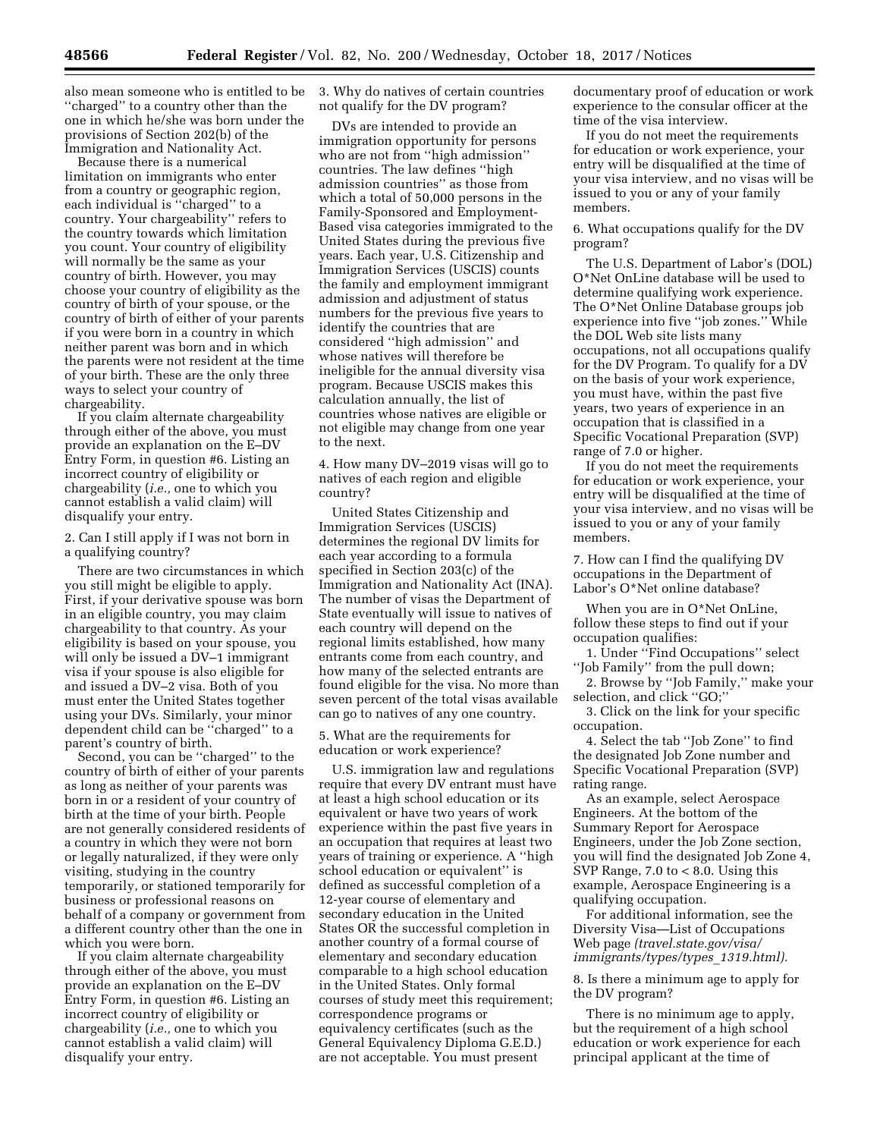also mean someone who is entitled to be ''charged'' to a country other than the one in which he/she was born under the provisions of Section 202(b) of the Immigration and Nationality Act.

Because there is a numerical limitation on immigrants who enter from a country or geographic region, each individual is ''charged'' to a country. Your chargeability'' refers to the country towards which limitation you count. Your country of eligibility will normally be the same as your country of birth. However, you may choose your country of eligibility as the country of birth of your spouse, or the country of birth of either of your parents if you were born in a country in which neither parent was born and in which the parents were not resident at the time of your birth. These are the only three ways to select your country of chargeability.

If you claim alternate chargeability through either of the above, you must provide an explanation on the E–DV Entry Form, in question #6. Listing an incorrect country of eligibility or chargeability (*i.e.,* one to which you cannot establish a valid claim) will disqualify your entry.

2. Can I still apply if I was not born in a qualifying country?

There are two circumstances in which you still might be eligible to apply. First, if your derivative spouse was born in an eligible country, you may claim chargeability to that country. As your eligibility is based on your spouse, you will only be issued a  $\text{DV}-1$  immigrant visa if your spouse is also eligible for and issued a DV–2 visa. Both of you must enter the United States together using your DVs. Similarly, your minor dependent child can be ''charged'' to a parent's country of birth.

Second, you can be ''charged'' to the country of birth of either of your parents as long as neither of your parents was born in or a resident of your country of birth at the time of your birth. People are not generally considered residents of a country in which they were not born or legally naturalized, if they were only visiting, studying in the country temporarily, or stationed temporarily for business or professional reasons on behalf of a company or government from a different country other than the one in which you were born.

If you claim alternate chargeability through either of the above, you must provide an explanation on the E–DV Entry Form, in question #6. Listing an incorrect country of eligibility or chargeability (*i.e.,* one to which you cannot establish a valid claim) will disqualify your entry.

3. Why do natives of certain countries not qualify for the DV program?

DVs are intended to provide an immigration opportunity for persons who are not from ''high admission'' countries. The law defines ''high admission countries'' as those from which a total of 50,000 persons in the Family-Sponsored and Employment-Based visa categories immigrated to the United States during the previous five years. Each year, U.S. Citizenship and Immigration Services (USCIS) counts the family and employment immigrant admission and adjustment of status numbers for the previous five years to identify the countries that are considered ''high admission'' and whose natives will therefore be ineligible for the annual diversity visa program. Because USCIS makes this calculation annually, the list of countries whose natives are eligible or not eligible may change from one year to the next.

4. How many DV–2019 visas will go to natives of each region and eligible country?

United States Citizenship and Immigration Services (USCIS) determines the regional DV limits for each year according to a formula specified in Section 203(c) of the Immigration and Nationality Act (INA). The number of visas the Department of State eventually will issue to natives of each country will depend on the regional limits established, how many entrants come from each country, and how many of the selected entrants are found eligible for the visa. No more than seven percent of the total visas available can go to natives of any one country.

5. What are the requirements for education or work experience?

U.S. immigration law and regulations require that every DV entrant must have at least a high school education or its equivalent or have two years of work experience within the past five years in an occupation that requires at least two years of training or experience. A ''high school education or equivalent'' is defined as successful completion of a 12-year course of elementary and secondary education in the United States OR the successful completion in another country of a formal course of elementary and secondary education comparable to a high school education in the United States. Only formal courses of study meet this requirement; correspondence programs or equivalency certificates (such as the General Equivalency Diploma G.E.D.) are not acceptable. You must present

documentary proof of education or work experience to the consular officer at the time of the visa interview.

If you do not meet the requirements for education or work experience, your entry will be disqualified at the time of your visa interview, and no visas will be issued to you or any of your family members.

6. What occupations qualify for the DV program?

The U.S. Department of Labor's (DOL) O\*Net OnLine database will be used to determine qualifying work experience. The O\*Net Online Database groups job experience into five ''job zones.'' While the DOL Web site lists many occupations, not all occupations qualify for the DV Program. To qualify for a DV on the basis of your work experience, you must have, within the past five years, two years of experience in an occupation that is classified in a Specific Vocational Preparation (SVP) range of 7.0 or higher.

If you do not meet the requirements for education or work experience, your entry will be disqualified at the time of your visa interview, and no visas will be issued to you or any of your family members.

7. How can I find the qualifying DV occupations in the Department of Labor's O\*Net online database?

When you are in O\*Net OnLine, follow these steps to find out if your occupation qualifies:

1. Under ''Find Occupations'' select ''Job Family'' from the pull down;

2. Browse by ''Job Family,'' make your selection, and click "GO;"

3. Click on the link for your specific occupation.

4. Select the tab ''Job Zone'' to find the designated Job Zone number and Specific Vocational Preparation (SVP) rating range.

As an example, select Aerospace Engineers. At the bottom of the Summary Report for Aerospace Engineers, under the Job Zone section, you will find the designated Job Zone 4, SVP Range, 7.0 to < 8.0. Using this example, Aerospace Engineering is a qualifying occupation.

For additional information, see the Diversity Visa—List of Occupations Web page *(travel.state.gov/visa/ immigrants/types/types*\_*1319.html).* 

8. Is there a minimum age to apply for the DV program?

There is no minimum age to apply, but the requirement of a high school education or work experience for each principal applicant at the time of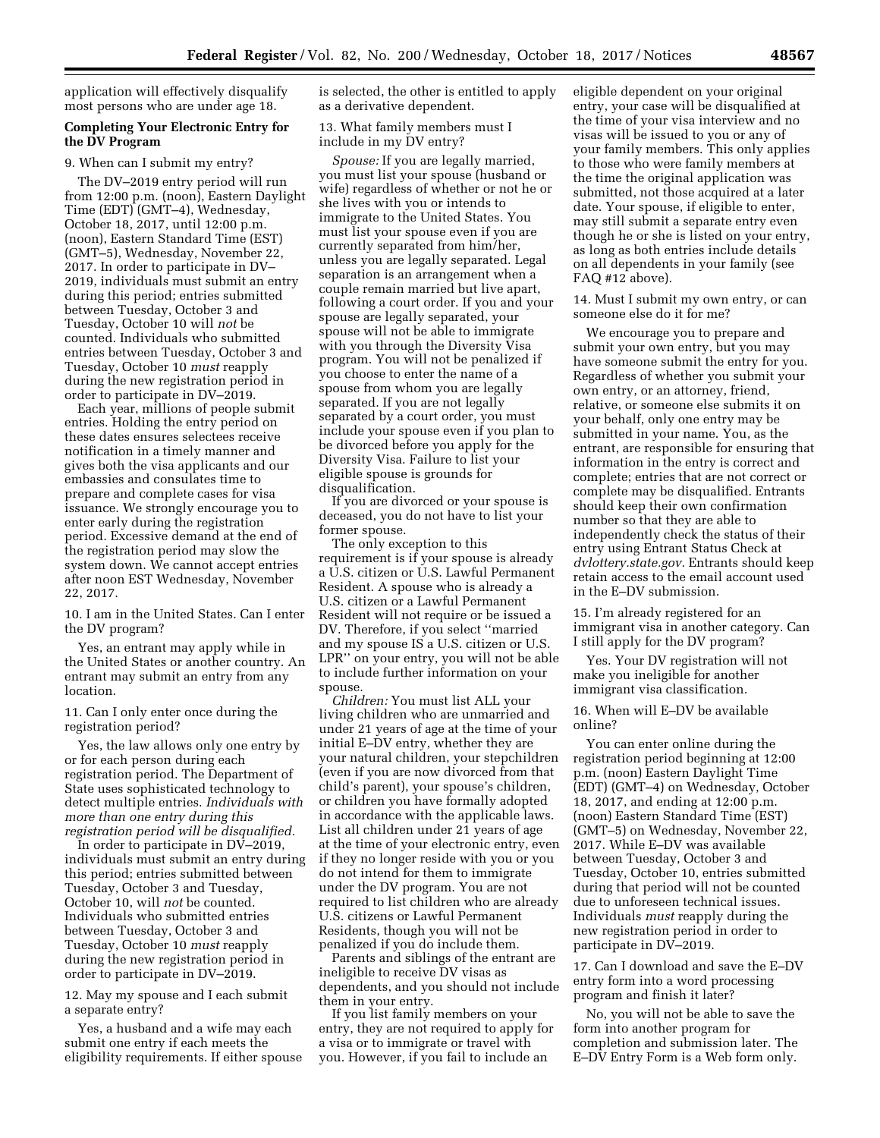application will effectively disqualify most persons who are under age 18.

# **Completing Your Electronic Entry for the DV Program**

9. When can I submit my entry?

The DV–2019 entry period will run from 12:00 p.m. (noon), Eastern Daylight Time (EDT) (GMT–4), Wednesday, October 18, 2017, until 12:00 p.m. (noon), Eastern Standard Time (EST) (GMT–5), Wednesday, November 22, 2017. In order to participate in DV– 2019, individuals must submit an entry during this period; entries submitted between Tuesday, October 3 and Tuesday, October 10 will *not* be counted. Individuals who submitted entries between Tuesday, October 3 and Tuesday, October 10 *must* reapply during the new registration period in order to participate in DV–2019.

Each year, millions of people submit entries. Holding the entry period on these dates ensures selectees receive notification in a timely manner and gives both the visa applicants and our embassies and consulates time to prepare and complete cases for visa issuance. We strongly encourage you to enter early during the registration period. Excessive demand at the end of the registration period may slow the system down. We cannot accept entries after noon EST Wednesday, November 22, 2017.

10. I am in the United States. Can I enter the DV program?

Yes, an entrant may apply while in the United States or another country. An entrant may submit an entry from any location.

11. Can I only enter once during the registration period?

Yes, the law allows only one entry by or for each person during each registration period. The Department of State uses sophisticated technology to detect multiple entries. *Individuals with more than one entry during this registration period will be disqualified.* 

In order to participate in DV–2019, individuals must submit an entry during this period; entries submitted between Tuesday, October 3 and Tuesday, October 10, will *not* be counted. Individuals who submitted entries between Tuesday, October 3 and Tuesday, October 10 *must* reapply during the new registration period in order to participate in DV–2019.

12. May my spouse and I each submit a separate entry?

Yes, a husband and a wife may each submit one entry if each meets the eligibility requirements. If either spouse is selected, the other is entitled to apply as a derivative dependent.

13. What family members must I include in my DV entry?

*Spouse:* If you are legally married, you must list your spouse (husband or wife) regardless of whether or not he or she lives with you or intends to immigrate to the United States. You must list your spouse even if you are currently separated from him/her, unless you are legally separated. Legal separation is an arrangement when a couple remain married but live apart, following a court order. If you and your spouse are legally separated, your spouse will not be able to immigrate with you through the Diversity Visa program. You will not be penalized if you choose to enter the name of a spouse from whom you are legally separated. If you are not legally separated by a court order, you must include your spouse even if you plan to be divorced before you apply for the Diversity Visa. Failure to list your eligible spouse is grounds for disqualification.

If you are divorced or your spouse is deceased, you do not have to list your former spouse.

The only exception to this requirement is if your spouse is already a U.S. citizen or U.S. Lawful Permanent Resident. A spouse who is already a U.S. citizen or a Lawful Permanent Resident will not require or be issued a DV. Therefore, if you select ''married and my spouse IS a U.S. citizen or U.S. LPR'' on your entry, you will not be able to include further information on your spouse.

*Children:* You must list ALL your living children who are unmarried and under 21 years of age at the time of your initial E–DV entry, whether they are your natural children, your stepchildren (even if you are now divorced from that child's parent), your spouse's children, or children you have formally adopted in accordance with the applicable laws. List all children under 21 years of age at the time of your electronic entry, even if they no longer reside with you or you do not intend for them to immigrate under the DV program. You are not required to list children who are already U.S. citizens or Lawful Permanent Residents, though you will not be penalized if you do include them.

Parents and siblings of the entrant are ineligible to receive DV visas as dependents, and you should not include them in your entry.

If you list family members on your entry, they are not required to apply for a visa or to immigrate or travel with you. However, if you fail to include an

eligible dependent on your original entry, your case will be disqualified at the time of your visa interview and no visas will be issued to you or any of your family members. This only applies to those who were family members at the time the original application was submitted, not those acquired at a later date. Your spouse, if eligible to enter, may still submit a separate entry even though he or she is listed on your entry, as long as both entries include details on all dependents in your family (see FAQ #12 above).

14. Must I submit my own entry, or can someone else do it for me?

We encourage you to prepare and submit your own entry, but you may have someone submit the entry for you. Regardless of whether you submit your own entry, or an attorney, friend, relative, or someone else submits it on your behalf, only one entry may be submitted in your name. You, as the entrant, are responsible for ensuring that information in the entry is correct and complete; entries that are not correct or complete may be disqualified. Entrants should keep their own confirmation number so that they are able to independently check the status of their entry using Entrant Status Check at *dvlottery.state.gov.* Entrants should keep retain access to the email account used in the E–DV submission.

15. I'm already registered for an immigrant visa in another category. Can I still apply for the DV program?

Yes. Your DV registration will not make you ineligible for another immigrant visa classification.

16. When will E–DV be available online?

You can enter online during the registration period beginning at 12:00 p.m. (noon) Eastern Daylight Time (EDT) (GMT–4) on Wednesday, October 18, 2017, and ending at 12:00 p.m. (noon) Eastern Standard Time (EST) (GMT–5) on Wednesday, November 22, 2017. While E–DV was available between Tuesday, October 3 and Tuesday, October 10, entries submitted during that period will not be counted due to unforeseen technical issues. Individuals *must* reapply during the new registration period in order to participate in DV–2019.

17. Can I download and save the E–DV entry form into a word processing program and finish it later?

No, you will not be able to save the form into another program for completion and submission later. The E–DV Entry Form is a Web form only.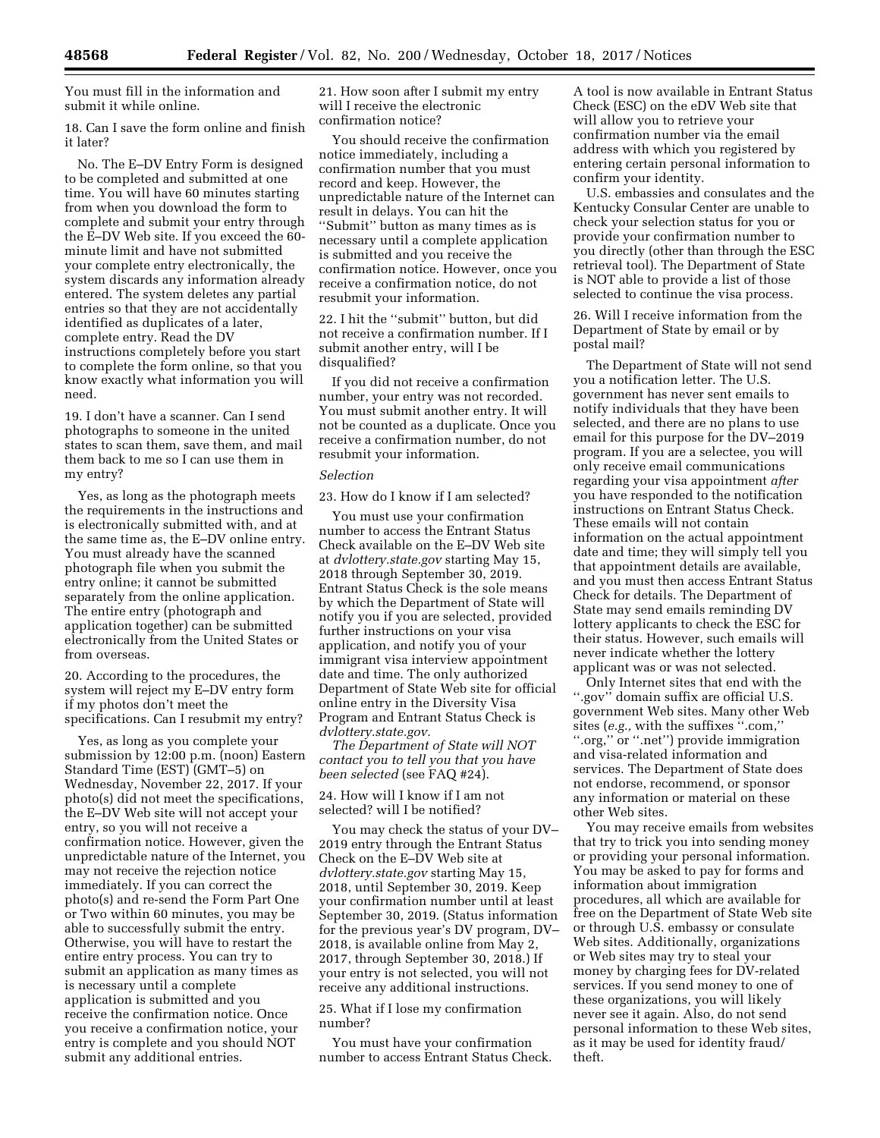You must fill in the information and submit it while online.

18. Can I save the form online and finish it later?

No. The E–DV Entry Form is designed to be completed and submitted at one time. You will have 60 minutes starting from when you download the form to complete and submit your entry through the E–DV Web site. If you exceed the 60 minute limit and have not submitted your complete entry electronically, the system discards any information already entered. The system deletes any partial entries so that they are not accidentally identified as duplicates of a later, complete entry. Read the DV instructions completely before you start to complete the form online, so that you know exactly what information you will need.

19. I don't have a scanner. Can I send photographs to someone in the united states to scan them, save them, and mail them back to me so I can use them in my entry?

Yes, as long as the photograph meets the requirements in the instructions and is electronically submitted with, and at the same time as, the E–DV online entry. You must already have the scanned photograph file when you submit the entry online; it cannot be submitted separately from the online application. The entire entry (photograph and application together) can be submitted electronically from the United States or from overseas.

20. According to the procedures, the system will reject my E–DV entry form if my photos don't meet the specifications. Can I resubmit my entry?

Yes, as long as you complete your submission by 12:00 p.m. (noon) Eastern Standard Time (EST) (GMT–5) on Wednesday, November 22, 2017. If your photo(s) did not meet the specifications, the E–DV Web site will not accept your entry, so you will not receive a confirmation notice. However, given the unpredictable nature of the Internet, you may not receive the rejection notice immediately. If you can correct the photo(s) and re-send the Form Part One or Two within 60 minutes, you may be able to successfully submit the entry. Otherwise, you will have to restart the entire entry process. You can try to submit an application as many times as is necessary until a complete application is submitted and you receive the confirmation notice. Once you receive a confirmation notice, your entry is complete and you should NOT submit any additional entries.

21. How soon after I submit my entry will I receive the electronic confirmation notice?

You should receive the confirmation notice immediately, including a confirmation number that you must record and keep. However, the unpredictable nature of the Internet can result in delays. You can hit the ''Submit'' button as many times as is necessary until a complete application is submitted and you receive the confirmation notice. However, once you receive a confirmation notice, do not resubmit your information.

22. I hit the ''submit'' button, but did not receive a confirmation number. If I submit another entry, will I be disqualified?

If you did not receive a confirmation number, your entry was not recorded. You must submit another entry. It will not be counted as a duplicate. Once you receive a confirmation number, do not resubmit your information.

#### *Selection*

23. How do I know if I am selected?

You must use your confirmation number to access the Entrant Status Check available on the E–DV Web site at *dvlottery.state.gov* starting May 15, 2018 through September 30, 2019. Entrant Status Check is the sole means by which the Department of State will notify you if you are selected, provided further instructions on your visa application, and notify you of your immigrant visa interview appointment date and time. The only authorized Department of State Web site for official online entry in the Diversity Visa Program and Entrant Status Check is *dvlottery.state.gov.* 

*The Department of State will NOT contact you to tell you that you have been selected* (see FAQ #24).

24. How will I know if I am not selected? will I be notified?

You may check the status of your DV– 2019 entry through the Entrant Status Check on the E–DV Web site at *dvlottery.state.gov* starting May 15, 2018, until September 30, 2019. Keep your confirmation number until at least September 30, 2019. (Status information for the previous year's DV program, DV– 2018, is available online from May 2, 2017, through September 30, 2018.) If your entry is not selected, you will not receive any additional instructions.

## 25. What if I lose my confirmation number?

You must have your confirmation number to access Entrant Status Check.

A tool is now available in Entrant Status Check (ESC) on the eDV Web site that will allow you to retrieve your confirmation number via the email address with which you registered by entering certain personal information to confirm your identity.

U.S. embassies and consulates and the Kentucky Consular Center are unable to check your selection status for you or provide your confirmation number to you directly (other than through the ESC retrieval tool). The Department of State is NOT able to provide a list of those selected to continue the visa process.

26. Will I receive information from the Department of State by email or by postal mail?

The Department of State will not send you a notification letter. The U.S. government has never sent emails to notify individuals that they have been selected, and there are no plans to use email for this purpose for the DV–2019 program. If you are a selectee, you will only receive email communications regarding your visa appointment *after*  you have responded to the notification instructions on Entrant Status Check. These emails will not contain information on the actual appointment date and time; they will simply tell you that appointment details are available, and you must then access Entrant Status Check for details. The Department of State may send emails reminding DV lottery applicants to check the ESC for their status. However, such emails will never indicate whether the lottery applicant was or was not selected.

Only Internet sites that end with the ''.gov'' domain suffix are official U.S. government Web sites. Many other Web sites (*e.g.,* with the suffixes ''.com,'' ''.org,'' or ''.net'') provide immigration and visa-related information and services. The Department of State does not endorse, recommend, or sponsor any information or material on these other Web sites.

You may receive emails from websites that try to trick you into sending money or providing your personal information. You may be asked to pay for forms and information about immigration procedures, all which are available for free on the Department of State Web site or through U.S. embassy or consulate Web sites. Additionally, organizations or Web sites may try to steal your money by charging fees for DV-related services. If you send money to one of these organizations, you will likely never see it again. Also, do not send personal information to these Web sites, as it may be used for identity fraud/ theft.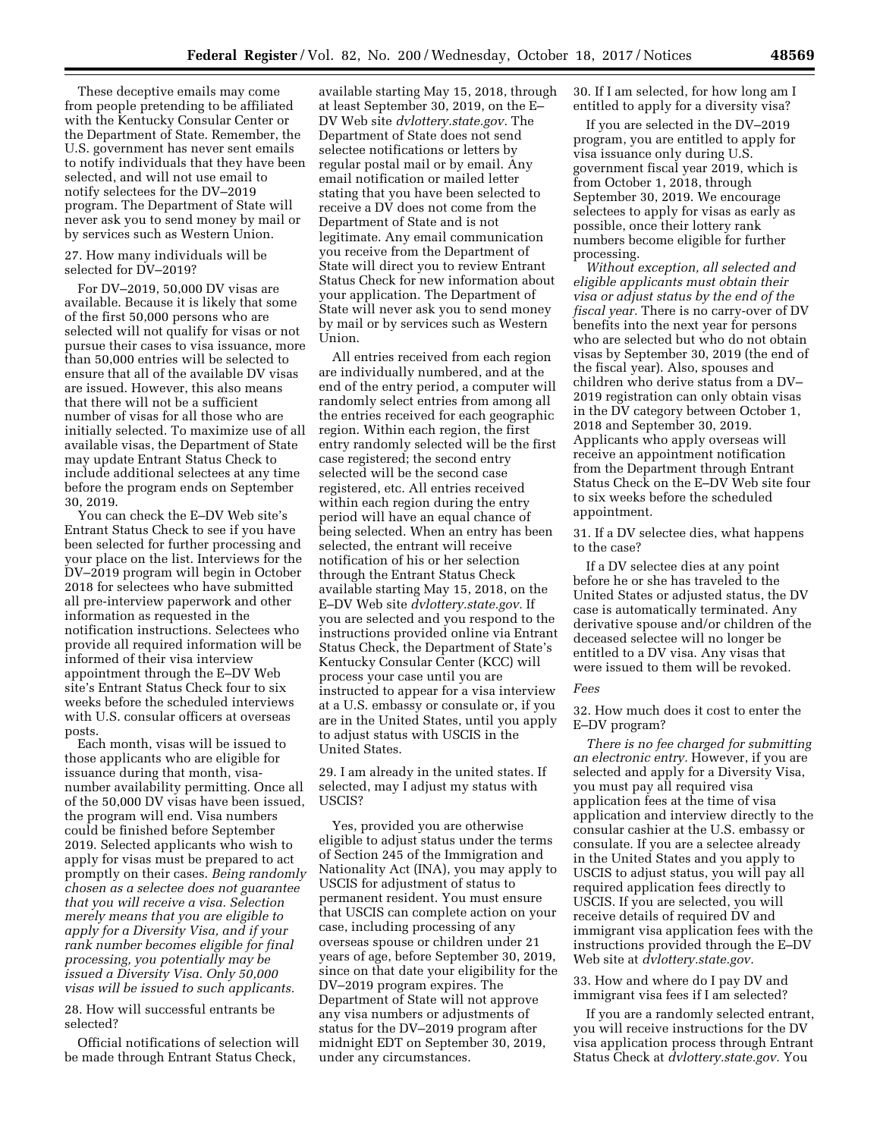These deceptive emails may come from people pretending to be affiliated with the Kentucky Consular Center or the Department of State. Remember, the U.S. government has never sent emails to notify individuals that they have been selected, and will not use email to notify selectees for the DV–2019 program. The Department of State will never ask you to send money by mail or by services such as Western Union.

### 27. How many individuals will be selected for DV–2019?

For DV–2019, 50,000 DV visas are available. Because it is likely that some of the first 50,000 persons who are selected will not qualify for visas or not pursue their cases to visa issuance, more than 50,000 entries will be selected to ensure that all of the available DV visas are issued. However, this also means that there will not be a sufficient number of visas for all those who are initially selected. To maximize use of all available visas, the Department of State may update Entrant Status Check to include additional selectees at any time before the program ends on September 30, 2019.

You can check the E–DV Web site's Entrant Status Check to see if you have been selected for further processing and your place on the list. Interviews for the DV–2019 program will begin in October 2018 for selectees who have submitted all pre-interview paperwork and other information as requested in the notification instructions. Selectees who provide all required information will be informed of their visa interview appointment through the E–DV Web site's Entrant Status Check four to six weeks before the scheduled interviews with U.S. consular officers at overseas posts.

Each month, visas will be issued to those applicants who are eligible for issuance during that month, visanumber availability permitting. Once all of the 50,000 DV visas have been issued, the program will end. Visa numbers could be finished before September 2019. Selected applicants who wish to apply for visas must be prepared to act promptly on their cases. *Being randomly chosen as a selectee does not guarantee that you will receive a visa. Selection merely means that you are eligible to apply for a Diversity Visa, and if your rank number becomes eligible for final processing, you potentially may be issued a Diversity Visa. Only 50,000 visas will be issued to such applicants.* 

28. How will successful entrants be selected?

Official notifications of selection will be made through Entrant Status Check,

available starting May 15, 2018, through at least September 30, 2019, on the E– DV Web site *dvlottery.state.gov.* The Department of State does not send selectee notifications or letters by regular postal mail or by email. Any email notification or mailed letter stating that you have been selected to receive a DV does not come from the Department of State and is not legitimate. Any email communication you receive from the Department of State will direct you to review Entrant Status Check for new information about your application. The Department of State will never ask you to send money by mail or by services such as Western Union.

All entries received from each region are individually numbered, and at the end of the entry period, a computer will randomly select entries from among all the entries received for each geographic region. Within each region, the first entry randomly selected will be the first case registered; the second entry selected will be the second case registered, etc. All entries received within each region during the entry period will have an equal chance of being selected. When an entry has been selected, the entrant will receive notification of his or her selection through the Entrant Status Check available starting May 15, 2018, on the E–DV Web site *dvlottery.state.gov.* If you are selected and you respond to the instructions provided online via Entrant Status Check, the Department of State's Kentucky Consular Center (KCC) will process your case until you are instructed to appear for a visa interview at a U.S. embassy or consulate or, if you are in the United States, until you apply to adjust status with USCIS in the United States.

29. I am already in the united states. If selected, may I adjust my status with USCIS?

Yes, provided you are otherwise eligible to adjust status under the terms of Section 245 of the Immigration and Nationality Act (INA), you may apply to USCIS for adjustment of status to permanent resident. You must ensure that USCIS can complete action on your case, including processing of any overseas spouse or children under 21 years of age, before September 30, 2019, since on that date your eligibility for the DV–2019 program expires. The Department of State will not approve any visa numbers or adjustments of status for the DV–2019 program after midnight EDT on September 30, 2019, under any circumstances.

30. If I am selected, for how long am I entitled to apply for a diversity visa?

If you are selected in the DV–2019 program, you are entitled to apply for visa issuance only during U.S. government fiscal year 2019, which is from October 1, 2018, through September 30, 2019. We encourage selectees to apply for visas as early as possible, once their lottery rank numbers become eligible for further processing.

*Without exception, all selected and eligible applicants must obtain their visa or adjust status by the end of the fiscal year.* There is no carry-over of DV benefits into the next year for persons who are selected but who do not obtain visas by September 30, 2019 (the end of the fiscal year). Also, spouses and children who derive status from a DV– 2019 registration can only obtain visas in the DV category between October 1, 2018 and September 30, 2019. Applicants who apply overseas will receive an appointment notification from the Department through Entrant Status Check on the E–DV Web site four to six weeks before the scheduled appointment.

## 31. If a DV selectee dies, what happens to the case?

If a DV selectee dies at any point before he or she has traveled to the United States or adjusted status, the DV case is automatically terminated. Any derivative spouse and/or children of the deceased selectee will no longer be entitled to a DV visa. Any visas that were issued to them will be revoked.

# *Fees*

32. How much does it cost to enter the E–DV program?

*There is no fee charged for submitting an electronic entry.* However, if you are selected and apply for a Diversity Visa, you must pay all required visa application fees at the time of visa application and interview directly to the consular cashier at the U.S. embassy or consulate. If you are a selectee already in the United States and you apply to USCIS to adjust status, you will pay all required application fees directly to USCIS. If you are selected, you will receive details of required DV and immigrant visa application fees with the instructions provided through the E–DV Web site at *dvlottery.state.gov.* 

33. How and where do I pay DV and immigrant visa fees if I am selected?

If you are a randomly selected entrant, you will receive instructions for the DV visa application process through Entrant Status Check at *dvlottery.state.gov.* You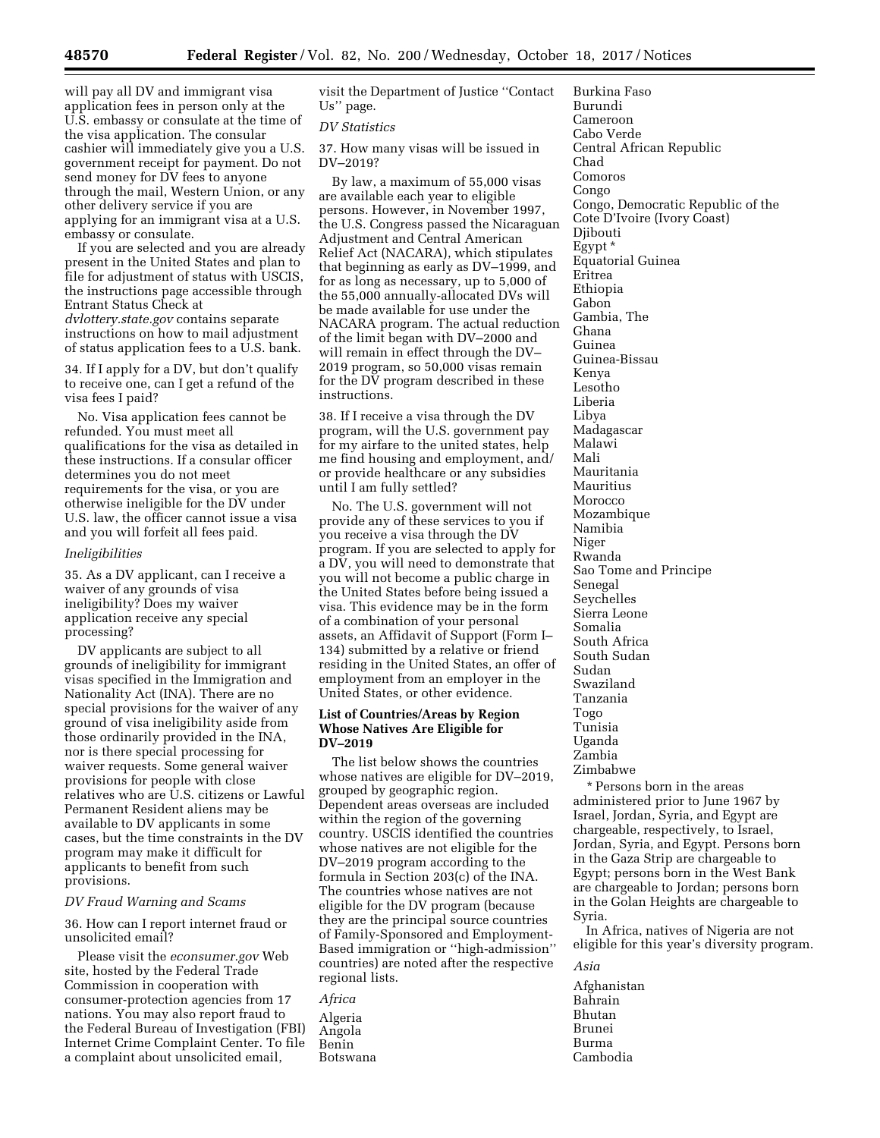will pay all DV and immigrant visa application fees in person only at the U.S. embassy or consulate at the time of the visa application. The consular cashier will immediately give you a U.S. government receipt for payment. Do not send money for DV fees to anyone through the mail, Western Union, or any other delivery service if you are applying for an immigrant visa at a U.S. embassy or consulate.

If you are selected and you are already present in the United States and plan to file for adjustment of status with USCIS, the instructions page accessible through Entrant Status Check at *dvlottery.state.gov* contains separate instructions on how to mail adjustment of status application fees to a U.S. bank.

34. If I apply for a DV, but don't qualify to receive one, can I get a refund of the visa fees I paid?

No. Visa application fees cannot be refunded. You must meet all qualifications for the visa as detailed in these instructions. If a consular officer determines you do not meet requirements for the visa, or you are otherwise ineligible for the DV under U.S. law, the officer cannot issue a visa and you will forfeit all fees paid.

### *Ineligibilities*

35. As a DV applicant, can I receive a waiver of any grounds of visa ineligibility? Does my waiver application receive any special processing?

DV applicants are subject to all grounds of ineligibility for immigrant visas specified in the Immigration and Nationality Act (INA). There are no special provisions for the waiver of any ground of visa ineligibility aside from those ordinarily provided in the INA, nor is there special processing for waiver requests. Some general waiver provisions for people with close relatives who are U.S. citizens or Lawful Permanent Resident aliens may be available to DV applicants in some cases, but the time constraints in the DV program may make it difficult for applicants to benefit from such provisions.

# *DV Fraud Warning and Scams*

36. How can I report internet fraud or unsolicited email?

Please visit the *econsumer.gov* Web site, hosted by the Federal Trade Commission in cooperation with consumer-protection agencies from 17 nations. You may also report fraud to the Federal Bureau of Investigation (FBI) Internet Crime Complaint Center. To file a complaint about unsolicited email,

visit the Department of Justice ''Contact Us'' page.

#### *DV Statistics*

37. How many visas will be issued in DV–2019?

By law, a maximum of 55,000 visas are available each year to eligible persons. However, in November 1997, the U.S. Congress passed the Nicaraguan Adjustment and Central American Relief Act (NACARA), which stipulates that beginning as early as DV–1999, and for as long as necessary, up to 5,000 of the 55,000 annually-allocated DVs will be made available for use under the NACARA program. The actual reduction of the limit began with DV–2000 and will remain in effect through the DV– 2019 program, so 50,000 visas remain for the DV program described in these instructions.

38. If I receive a visa through the DV program, will the U.S. government pay for my airfare to the united states, help me find housing and employment, and/ or provide healthcare or any subsidies until I am fully settled?

No. The U.S. government will not provide any of these services to you if you receive a visa through the DV program. If you are selected to apply for a DV, you will need to demonstrate that you will not become a public charge in the United States before being issued a visa. This evidence may be in the form of a combination of your personal assets, an Affidavit of Support (Form I– 134) submitted by a relative or friend residing in the United States, an offer of employment from an employer in the United States, or other evidence.

### **List of Countries/Areas by Region Whose Natives Are Eligible for DV–2019**

The list below shows the countries whose natives are eligible for DV–2019, grouped by geographic region. Dependent areas overseas are included within the region of the governing country. USCIS identified the countries whose natives are not eligible for the DV–2019 program according to the formula in Section 203(c) of the INA. The countries whose natives are not eligible for the DV program (because they are the principal source countries of Family-Sponsored and Employment-Based immigration or ''high-admission'' countries) are noted after the respective regional lists.

*Africa*  Algeria Angola Benin Botswana Burkina Faso Burundi Cameroon Cabo Verde Central African Republic Chad Comoros Congo Congo, Democratic Republic of the Cote D'Ivoire (Ivory Coast) Djibouti Egypt \* Equatorial Guinea Eritrea Ethiopia Gabon Gambia, The Ghana Guinea Guinea-Bissau Kenya Lesotho Liberia Libya Madagascar Malawi Mali Mauritania Mauritius Morocco Mozambique Namibia Niger Rwanda Sao Tome and Principe Senegal Seychelles Sierra Leone Somalia South Africa South Sudan Sudan Swaziland Tanzania Togo Tunisia Uganda Zambia Zimbabwe

\* Persons born in the areas administered prior to June 1967 by Israel, Jordan, Syria, and Egypt are chargeable, respectively, to Israel, Jordan, Syria, and Egypt. Persons born in the Gaza Strip are chargeable to Egypt; persons born in the West Bank are chargeable to Jordan; persons born in the Golan Heights are chargeable to Syria.

In Africa, natives of Nigeria are not eligible for this year's diversity program.

Afghanistan Bahrain Bhutan Brunei Burma Cambodia

*Asia*